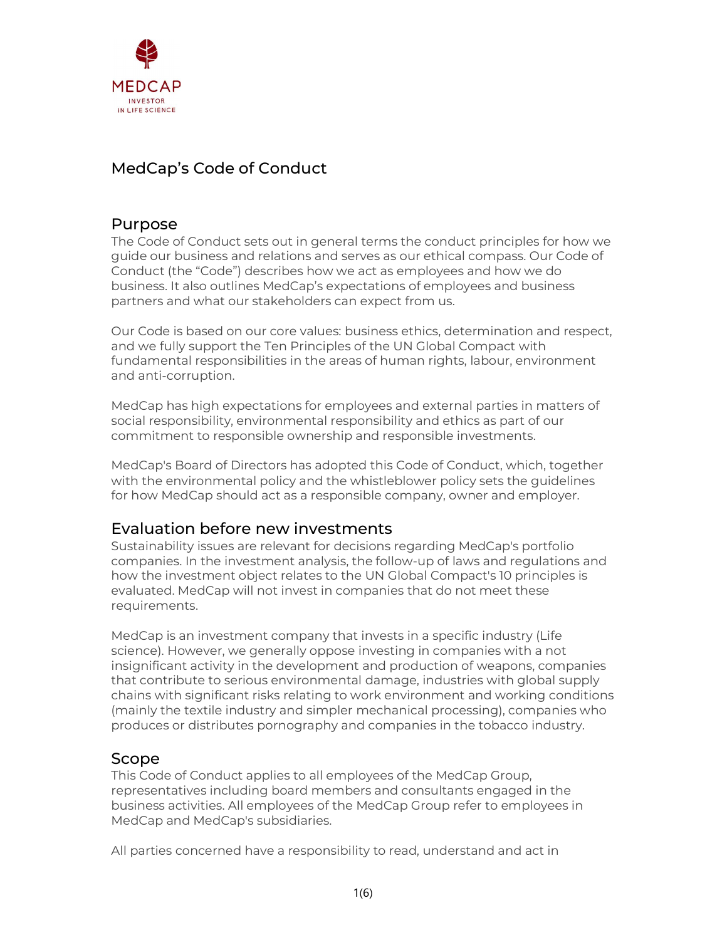

# MedCap's Code of Conduct

## Purpose

The Code of Conduct sets out in general terms the conduct principles for how we guide our business and relations and serves as our ethical compass. Our Code of Conduct (the "Code") describes how we act as employees and how we do business. It also outlines MedCap's expectations of employees and business partners and what our stakeholders can expect from us.

Our Code is based on our core values: business ethics, determination and respect, and we fully support the Ten Principles of the UN Global Compact with fundamental responsibilities in the areas of human rights, labour, environment and anti-corruption.

MedCap has high expectations for employees and external parties in matters of social responsibility, environmental responsibility and ethics as part of our commitment to responsible ownership and responsible investments.

MedCap's Board of Directors has adopted this Code of Conduct, which, together with the environmental policy and the whistleblower policy sets the guidelines for how MedCap should act as a responsible company, owner and employer.

## Evaluation before new investments

Sustainability issues are relevant for decisions regarding MedCap's portfolio companies. In the investment analysis, the follow-up of laws and regulations and how the investment object relates to the UN Global Compact's 10 principles is evaluated. MedCap will not invest in companies that do not meet these requirements.

MedCap is an investment company that invests in a specific industry (Life science). However, we generally oppose investing in companies with a not insignificant activity in the development and production of weapons, companies that contribute to serious environmental damage, industries with global supply chains with significant risks relating to work environment and working conditions (mainly the textile industry and simpler mechanical processing), companies who produces or distributes pornography and companies in the tobacco industry.

## Scope

This Code of Conduct applies to all employees of the MedCap Group, representatives including board members and consultants engaged in the business activities. All employees of the MedCap Group refer to employees in MedCap and MedCap's subsidiaries.

All parties concerned have a responsibility to read, understand and act in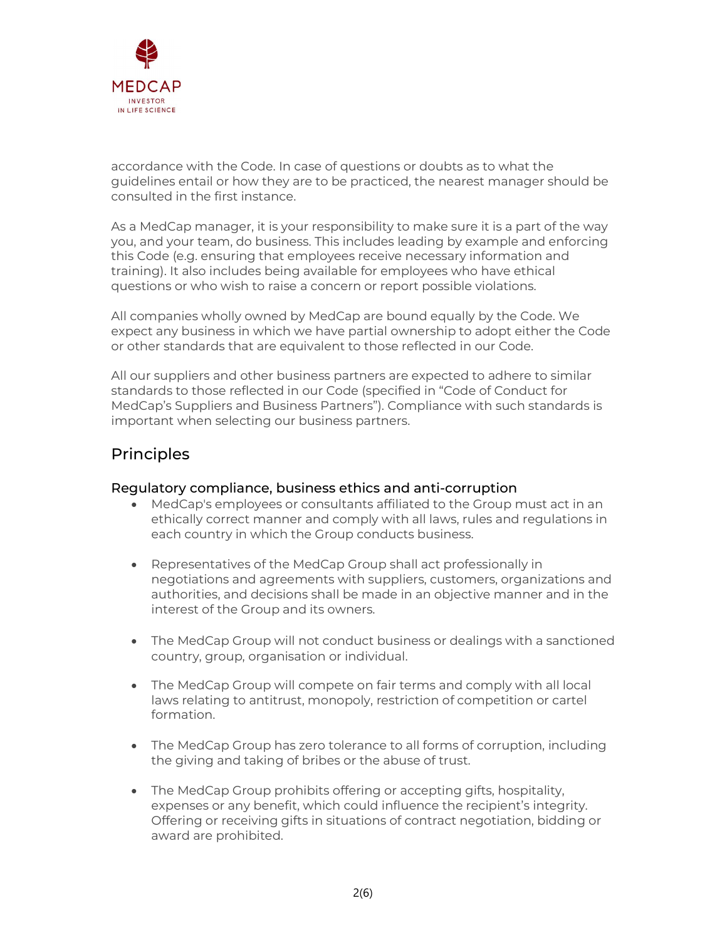

accordance with the Code. In case of questions or doubts as to what the guidelines entail or how they are to be practiced, the nearest manager should be consulted in the first instance.

As a MedCap manager, it is your responsibility to make sure it is a part of the way you, and your team, do business. This includes leading by example and enforcing this Code (e.g. ensuring that employees receive necessary information and training). It also includes being available for employees who have ethical questions or who wish to raise a concern or report possible violations.

All companies wholly owned by MedCap are bound equally by the Code. We expect any business in which we have partial ownership to adopt either the Code or other standards that are equivalent to those reflected in our Code.

All our suppliers and other business partners are expected to adhere to similar standards to those reflected in our Code (specified in "Code of Conduct for MedCap's Suppliers and Business Partners"). Compliance with such standards is important when selecting our business partners.

## **Principles**

#### Regulatory compliance, business ethics and anti-corruption

- MedCap's employees or consultants affiliated to the Group must act in an ethically correct manner and comply with all laws, rules and regulations in each country in which the Group conducts business.
- Representatives of the MedCap Group shall act professionally in negotiations and agreements with suppliers, customers, organizations and authorities, and decisions shall be made in an objective manner and in the interest of the Group and its owners.
- The MedCap Group will not conduct business or dealings with a sanctioned country, group, organisation or individual.
- The MedCap Group will compete on fair terms and comply with all local laws relating to antitrust, monopoly, restriction of competition or cartel formation.
- The MedCap Group has zero tolerance to all forms of corruption, including the giving and taking of bribes or the abuse of trust.
- The MedCap Group prohibits offering or accepting gifts, hospitality, expenses or any benefit, which could influence the recipient's integrity. Offering or receiving gifts in situations of contract negotiation, bidding or award are prohibited.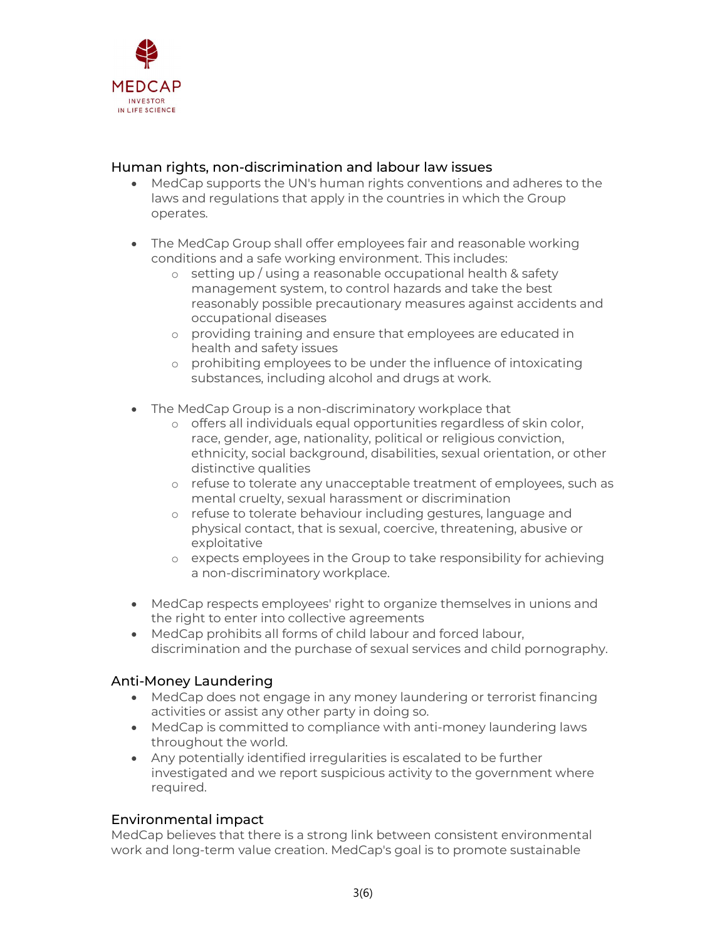

#### Human rights, non-discrimination and labour law issues

- MedCap supports the UN's human rights conventions and adheres to the laws and regulations that apply in the countries in which the Group operates.
- The MedCap Group shall offer employees fair and reasonable working conditions and a safe working environment. This includes:
	- o setting up / using a reasonable occupational health & safety management system, to control hazards and take the best reasonably possible precautionary measures against accidents and occupational diseases
	- o providing training and ensure that employees are educated in health and safety issues
	- o prohibiting employees to be under the influence of intoxicating substances, including alcohol and drugs at work.
- The MedCap Group is a non-discriminatory workplace that
	- o offers all individuals equal opportunities regardless of skin color, race, gender, age, nationality, political or religious conviction, ethnicity, social background, disabilities, sexual orientation, or other distinctive qualities
	- o refuse to tolerate any unacceptable treatment of employees, such as mental cruelty, sexual harassment or discrimination
	- o refuse to tolerate behaviour including gestures, language and physical contact, that is sexual, coercive, threatening, abusive or exploitative
	- o expects employees in the Group to take responsibility for achieving a non-discriminatory workplace.
- MedCap respects employees' right to organize themselves in unions and the right to enter into collective agreements
- MedCap prohibits all forms of child labour and forced labour, discrimination and the purchase of sexual services and child pornography.

## Anti-Money Laundering

- MedCap does not engage in any money laundering or terrorist financing activities or assist any other party in doing so.
- MedCap is committed to compliance with anti-money laundering laws throughout the world.
- Any potentially identified irregularities is escalated to be further investigated and we report suspicious activity to the government where required.

## Environmental impact

MedCap believes that there is a strong link between consistent environmental work and long-term value creation. MedCap's goal is to promote sustainable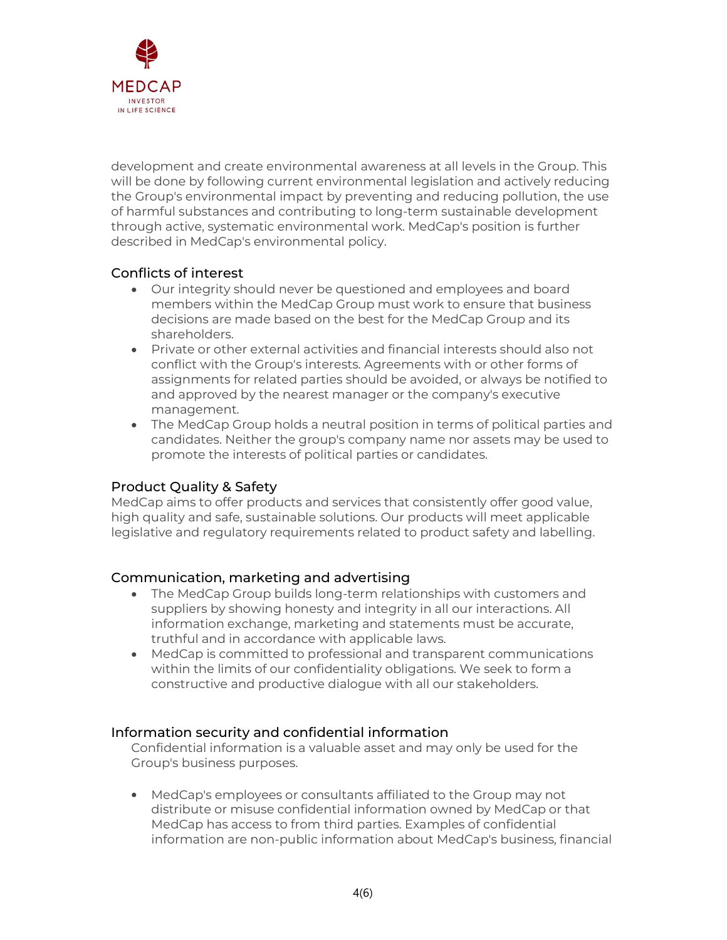

development and create environmental awareness at all levels in the Group. This will be done by following current environmental legislation and actively reducing the Group's environmental impact by preventing and reducing pollution, the use of harmful substances and contributing to long-term sustainable development through active, systematic environmental work. MedCap's position is further described in MedCap's environmental policy.

## Conflicts of interest

- Our integrity should never be questioned and employees and board members within the MedCap Group must work to ensure that business decisions are made based on the best for the MedCap Group and its shareholders.
- Private or other external activities and financial interests should also not conflict with the Group's interests. Agreements with or other forms of assignments for related parties should be avoided, or always be notified to and approved by the nearest manager or the company's executive management.
- The MedCap Group holds a neutral position in terms of political parties and candidates. Neither the group's company name nor assets may be used to promote the interests of political parties or candidates.

## Product Quality & Safety

MedCap aims to offer products and services that consistently offer good value, high quality and safe, sustainable solutions. Our products will meet applicable legislative and regulatory requirements related to product safety and labelling.

## Communication, marketing and advertising

- The MedCap Group builds long-term relationships with customers and suppliers by showing honesty and integrity in all our interactions. All information exchange, marketing and statements must be accurate, truthful and in accordance with applicable laws.
- MedCap is committed to professional and transparent communications within the limits of our confidentiality obligations. We seek to form a constructive and productive dialogue with all our stakeholders.

## Information security and confidential information

Confidential information is a valuable asset and may only be used for the Group's business purposes.

 MedCap's employees or consultants affiliated to the Group may not distribute or misuse confidential information owned by MedCap or that MedCap has access to from third parties. Examples of confidential information are non-public information about MedCap's business, financial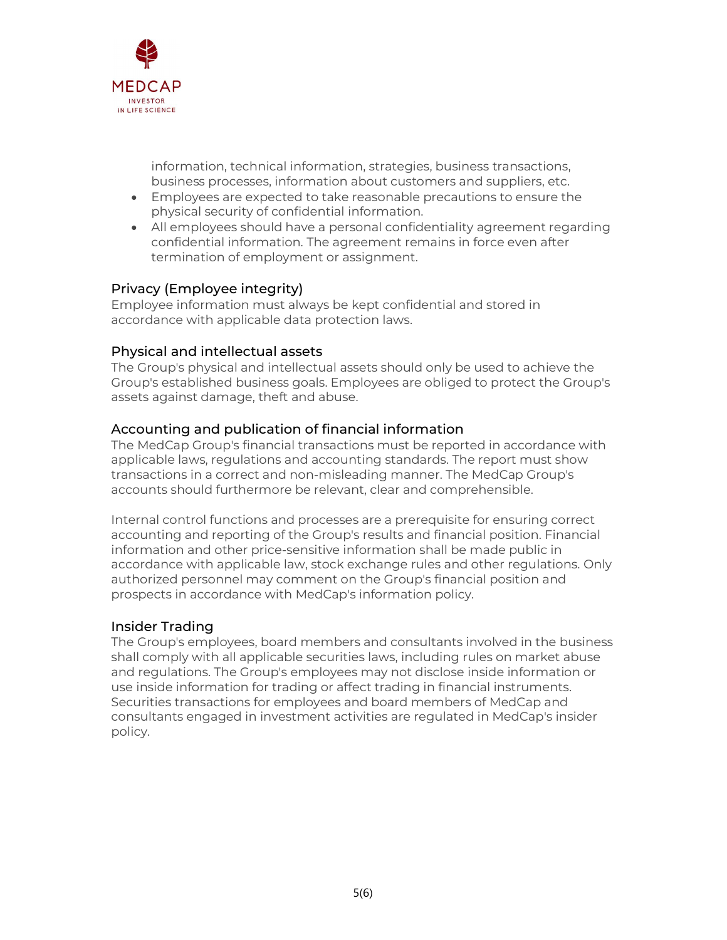

information, technical information, strategies, business transactions, business processes, information about customers and suppliers, etc.

- Employees are expected to take reasonable precautions to ensure the physical security of confidential information.
- All employees should have a personal confidentiality agreement regarding confidential information. The agreement remains in force even after termination of employment or assignment.

#### Privacy (Employee integrity)

Employee information must always be kept confidential and stored in accordance with applicable data protection laws.

#### Physical and intellectual assets

The Group's physical and intellectual assets should only be used to achieve the Group's established business goals. Employees are obliged to protect the Group's assets against damage, theft and abuse.

#### Accounting and publication of financial information

The MedCap Group's financial transactions must be reported in accordance with applicable laws, regulations and accounting standards. The report must show transactions in a correct and non-misleading manner. The MedCap Group's accounts should furthermore be relevant, clear and comprehensible.

Internal control functions and processes are a prerequisite for ensuring correct accounting and reporting of the Group's results and financial position. Financial information and other price-sensitive information shall be made public in accordance with applicable law, stock exchange rules and other regulations. Only authorized personnel may comment on the Group's financial position and prospects in accordance with MedCap's information policy.

#### Insider Trading

The Group's employees, board members and consultants involved in the business shall comply with all applicable securities laws, including rules on market abuse and regulations. The Group's employees may not disclose inside information or use inside information for trading or affect trading in financial instruments. Securities transactions for employees and board members of MedCap and consultants engaged in investment activities are regulated in MedCap's insider policy.